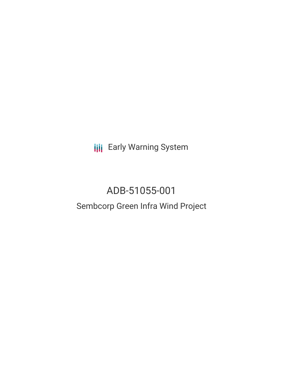**III** Early Warning System

# ADB-51055-001

## Sembcorp Green Infra Wind Project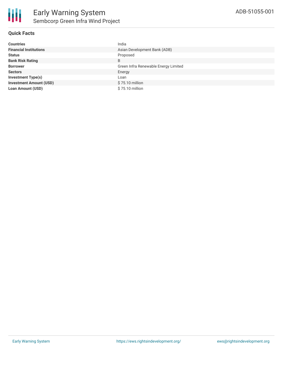

#### **Quick Facts**

| <b>Countries</b>               | India                                |
|--------------------------------|--------------------------------------|
| <b>Financial Institutions</b>  | Asian Development Bank (ADB)         |
| <b>Status</b>                  | Proposed                             |
| <b>Bank Risk Rating</b>        | B                                    |
| <b>Borrower</b>                | Green Infra Renewable Energy Limited |
| <b>Sectors</b>                 | Energy                               |
| <b>Investment Type(s)</b>      | Loan                                 |
| <b>Investment Amount (USD)</b> | \$75.10 million                      |
| <b>Loan Amount (USD)</b>       | \$75.10 million                      |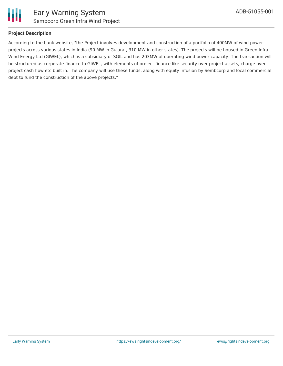

### **Project Description**

According to the bank website, "the Project involves development and construction of a portfolio of 400MW of wind power projects across various states in India (90 MW in Gujarat, 310 MW in other states). The projects will be housed in Green Infra Wind Energy Ltd (GIWEL), which is a subsidiary of SGIL and has 203MW of operating wind power capacity. The transaction will be structured as corporate finance to GIWEL, with elements of project finance like security over project assets, charge over project cash flow etc built in. The company will use these funds, along with equity infusion by Sembcorp and local commercial debt to fund the construction of the above projects."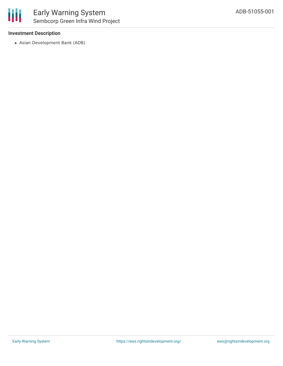#### **Investment Description**

Asian Development Bank (ADB)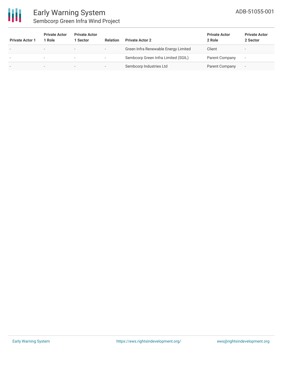

### Early Warning System Sembcorp Green Infra Wind Project

| <b>Private Actor 1</b> | <b>Private Actor</b><br>Role | <b>Private Actor</b><br>1 Sector | <b>Relation</b>          | <b>Private Actor 2</b>               | <b>Private Actor</b><br>2 Role | <b>Private Actor</b><br>2 Sector |
|------------------------|------------------------------|----------------------------------|--------------------------|--------------------------------------|--------------------------------|----------------------------------|
|                        | $\overline{\phantom{a}}$     | $\overline{\phantom{0}}$         | $\overline{\phantom{0}}$ | Green Infra Renewable Energy Limited | Client                         |                                  |
|                        |                              | $\overline{\phantom{0}}$         | $\overline{\phantom{a}}$ | Sembcorp Green Infra Limited (SGIL)  | Parent Company                 | $\overline{\phantom{a}}$         |
|                        | $\overline{\phantom{a}}$     | $\overline{\phantom{0}}$         | $\overline{\phantom{0}}$ | Sembcorp Industries Ltd              | Parent Company                 | $\overline{\phantom{a}}$         |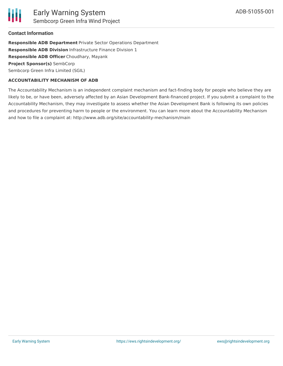

#### **Contact Information**

**Responsible ADB Department** Private Sector Operations Department **Responsible ADB Division** Infrastructure Finance Division 1 **Responsible ADB Officer** Choudhary, Mayank **Project Sponsor(s)** SembCorp Sembcorp Green Infra Limited (SGIL)

#### **ACCOUNTABILITY MECHANISM OF ADB**

The Accountability Mechanism is an independent complaint mechanism and fact-finding body for people who believe they are likely to be, or have been, adversely affected by an Asian Development Bank-financed project. If you submit a complaint to the Accountability Mechanism, they may investigate to assess whether the Asian Development Bank is following its own policies and procedures for preventing harm to people or the environment. You can learn more about the Accountability Mechanism and how to file a complaint at: http://www.adb.org/site/accountability-mechanism/main